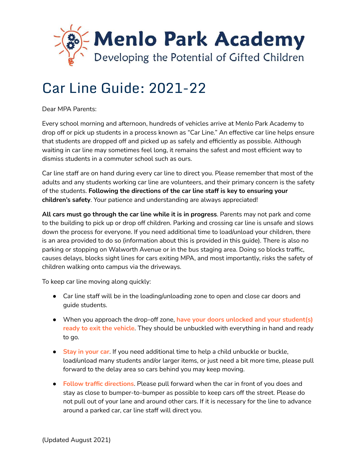

# Car Line Guide: 2021-22

Dear MPA Parents:

Every school morning and afternoon, hundreds of vehicles arrive at Menlo Park Academy to drop off or pick up students in a process known as "Car Line." An effective car line helps ensure that students are dropped off and picked up as safely and efficiently as possible. Although waiting in car line may sometimes feel long, it remains the safest and most efficient way to dismiss students in a commuter school such as ours.

Car line staff are on hand during every car line to direct you. Please remember that most of the adults and any students working car line are volunteers, and their primary concern is the safety of the students. **Following the directions of the car line staff is key to ensuring your children's safety**. Your patience and understanding are always appreciated!

**All cars must go through the car line while it is in progress**. Parents may not park and come to the building to pick up or drop off children. Parking and crossing car line is unsafe and slows down the process for everyone. If you need additional time to load/unload your children, there is an area provided to do so (information about this is provided in this guide). There is also no parking or stopping on Walworth Avenue or in the bus staging area. Doing so blocks traffic, causes delays, blocks sight lines for cars exiting MPA, and most importantly, risks the safety of children walking onto campus via the driveways.

To keep car line moving along quickly:

- Car line staff will be in the loading/unloading zone to open and close car doors and guide students.
- When you approach the drop-off zone, **have your doors unlocked and your student(s) ready to exit the vehicle**. They should be unbuckled with everything in hand and ready to go.
- **Stay in your car**. If you need additional time to help a child unbuckle or buckle, load/unload many students and/or larger items, or just need a bit more time, please pull forward to the delay area so cars behind you may keep moving.
- **Follow traffic directions**. Please pull forward when the car in front of you does and stay as close to bumper-to-bumper as possible to keep cars off the street. Please do not pull out of your lane and around other cars. If it is necessary for the line to advance around a parked car, car line staff will direct you.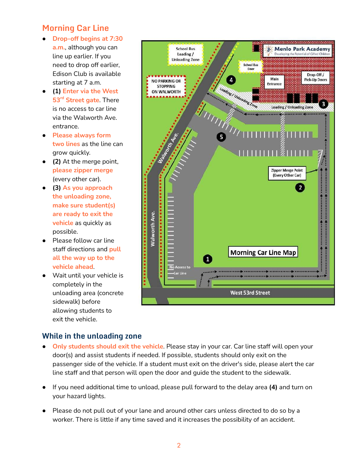# **Morning Car Line**

- **Drop-off begins at 7:30 a.m.**, although you can line up earlier. If you need to drop off earlier, Edison Club is available starting at 7 a.m.
- **(1) Enter via the West 53 rd Street gate**. There is no access to car line via the Walworth Ave. entrance.
- **Please always form two lines** as the line can grow quickly.
- **(2)** At the merge point, **please zipper merge** (every other car).
- **(3) As you approach the unloading zone, make sure student(s) are ready to exit the vehicle** as quickly as possible.
- Please follow car line staff directions and **pull all the way up to the vehicle ahead**.
- Wait until your vehicle is completely in the unloading area (concrete sidewalk) before allowing students to exit the vehicle.



#### **While in the unloading zone**

- **Only students should exit the vehicle**. Please stay in your car. Car line staff will open your door(s) and assist students if needed. If possible, students should only exit on the passenger side of the vehicle. If a student must exit on the driver's side, please alert the car line staff and that person will open the door and guide the student to the sidewalk.
- If you need additional time to unload, please pull forward to the delay area **(4)** and turn on your hazard lights.
- Please do not pull out of your lane and around other cars unless directed to do so by a worker. There is little if any time saved and it increases the possibility of an accident.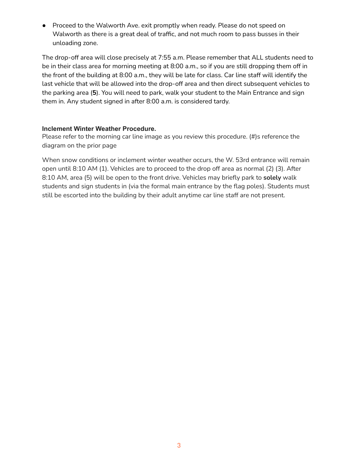● Proceed to the Walworth Ave. exit promptly when ready. Please do not speed on Walworth as there is a great deal of traffic, and not much room to pass busses in their unloading zone.

The drop-off area will close precisely at 7:55 a.m. Please remember that ALL students need to be in their class area for morning meeting at 8:00 a.m., so if you are still dropping them off in the front of the building at 8:00 a.m., they will be late for class. Car line staff will identify the last vehicle that will be allowed into the drop-off area and then direct subsequent vehicles to the parking area (**5**). You will need to park, walk your student to the Main Entrance and sign them in. Any student signed in after 8:00 a.m. is considered tardy.

#### **Inclement Winter Weather Procedure.**

Please refer to the morning car line image as you review this procedure. (#)s reference the diagram on the prior page

When snow conditions or inclement winter weather occurs, the W. 53rd entrance will remain open until 8:10 AM (1). Vehicles are to proceed to the drop off area as normal (2) (3). After 8:10 AM, area (5) will be open to the front drive. Vehicles may briefly park to **solely** walk students and sign students in (via the formal main entrance by the flag poles). Students must still be escorted into the building by their adult anytime car line staff are not present.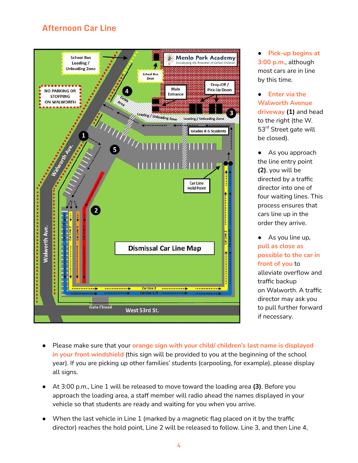# **Afternoon Car Line**



● **Pick-up begins at 3:00 p.m.**, although most cars are in line by this time.

● **Enter via the Walworth Avenue driveway (1)** and head to the right (the W. 53<sup>rd</sup> Street gate will be closed).

As you approach the line entry point **(2)**, you will be directed by a traffic director into one of four waiting lines. This process ensures that cars line up in the order they arrive.

● As you line up, **pull as close as possible to the car in front of you** to alleviate overflow and traffic backup on Walworth. A traffic director may ask you to pull further forward if necessary.

- Please make sure that your **orange sign with your child/ children's last name is displayed in your front windshield** (this sign will be provided to you at the beginning of the school year). If you are picking up other families' students (carpooling, for example), please display all signs.
- At 3:00 p.m., Line 1 will be released to move toward the loading area **(3)**. Before you approach the loading area, a staff member will radio ahead the names displayed in your vehicle so that students are ready and waiting for you when you arrive.
- When the last vehicle in Line 1 (marked by a magnetic flag placed on it by the traffic director) reaches the hold point, Line 2 will be released to follow. Line 3, and then Line 4,